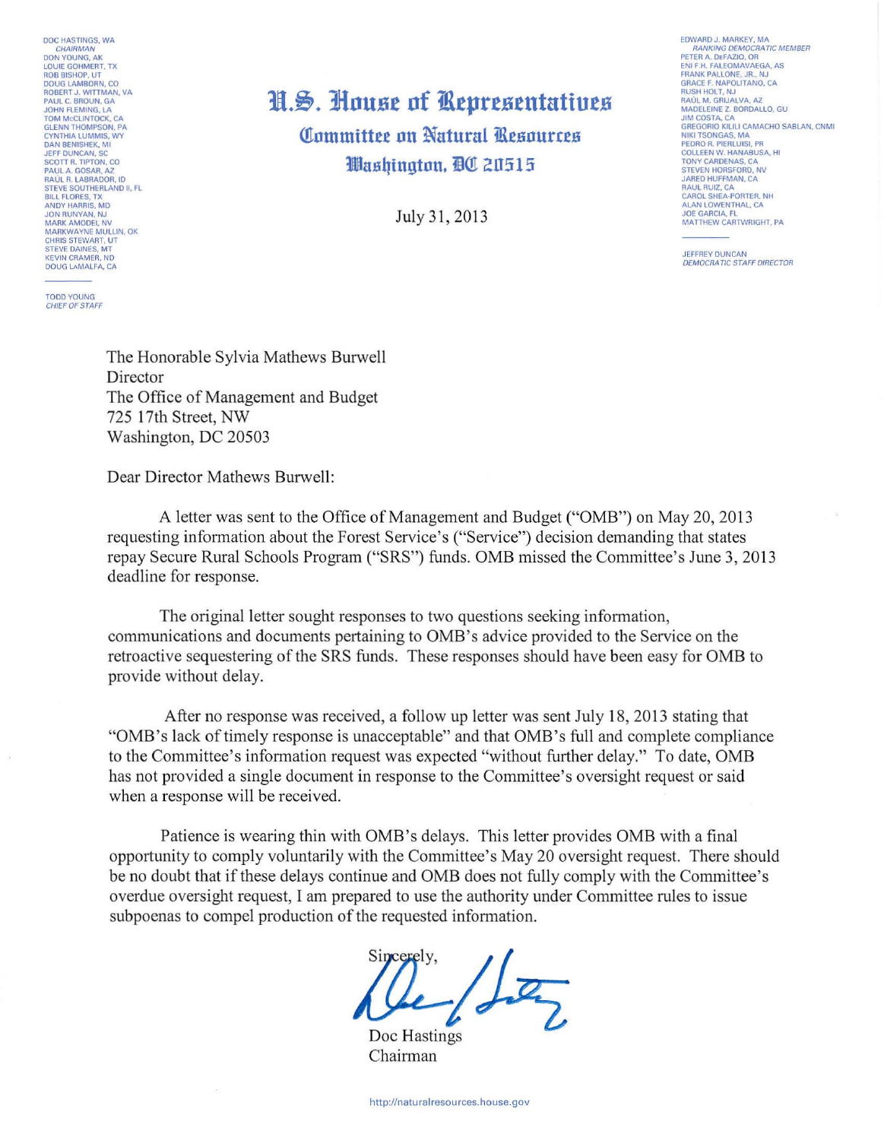DOC HASTINGS, WA CHAIRMAN<br>DON YOUNG, AK<br>LOUIE GOHMERT, TX ROB BISHOP, UT<br>DOUG LAMBORN, CO<br>ROBERT J. WITTMAN, VA<br>PAUL C. BROUN, GA JOHN FLEMING, LA<br>TOM MCCLINTOCK, CA<br>GLENN THOMPSON, PA CYNTHIA LUMMIS, WY DAN BENISHEK, MI SCOTT R. TIPTON, CO<br>PAUL A. GOSAR, AZ<br>RAÚL R. LABRADOR, ID<br>STEVE SOUTHERLAND II, FL **BILL FLORES TY** ANDY HARRIS, MD **MARK AMODEL NV** MARKWAYNE MULLIN, OK<br>CHRIS STEWART, UT<br>STEVE DAINES, MT KEVIN CRAMER ND DOUG LAMALFA, CA

**TODD YOUNG** CHIEF OF STAFF

## H.S. House of Representatives Committee on Natural Resources

Washington, QC 20515

July 31, 2013

EDWARD J. MARKEY, MA **RANKING DEMOCRATIC MEMBER** PETER A. DEFAZIO, OR<br>ENI F.H. FALEOMAVAEGA, AS<br>FRANK PALLONE, JR., NJ GRACE F. NAPOLITANO, CA<br>RUSH HOLT, NJ<br>RAÚL M. GRIJALVA, AZ MADELEINE Z. BORDALLO, GU JIM COSTA, CA<br>GREGORIO KILILI CAMACHO SABLAN, CNMI **NIKI TSONGAS, MA NIKI TSONGAS, MA<br>PEDRO R. PIERLUISI, PR<br>COLLEEN W. HANABUSA, HI<br>TONY CARDENAS, CA** STEVEN HORSEORD, NV STEVEN HORSFORD, NV<br>JARED HUFFMAN, CA<br>RAUL RUIZ, CA<br>CAROL SHEA-PORTER, NH CAROL SHEAT ONTER, NY<br>ALAN LOWENTHAL, CA<br>JOE GARCIA, FL<br>MATTHEW CARTWRIGHT, PA

JEFFREY DUNCAN<br>DEMOCRATIC STAFF DIRECTOR

The Honorable Sylvia Mathews Burwell Director The Office of Management and Budget 725 17th Street, NW Washington, DC 20503

Dear Director Mathews Burwell:

A letter was sent to the Office of Management and Budget ("OMB") on May 20, 2013 requesting information about the Forest Service's ("Service") decision demanding that states repay Secure Rural Schools Program ("SRS") funds. OMB missed the Committee's June 3, 2013 deadline for response.

The original letter sought responses to two questions seeking information, communications and documents pertaining to OMB's advice provided to the Service on the retroactive sequestering of the SRS funds. These responses should have been easy for OMB to provide without delay.

After no response was received, a follow up letter was sent July 18, 2013 stating that "OMB's lack of timely response is unacceptable" and that OMB's full and complete compliance to the Committee's information request was expected "without further delay." To date, OMB has not provided a single document in response to the Committee's oversight request or said when a response will be received.

Patience is wearing thin with OMB's delays. This letter provides OMB with a final opportunity to comply voluntarily with the Committee's May 20 oversight request. There should be no doubt that if these delays continue and OMB does not fully comply with the Committee's overdue oversight request, I am prepared to use the authority under Committee rules to issue subpoenas to compel production of the requested information.

 $12$ 

Doc Hastings Chairman

http://naturalresources.house.gov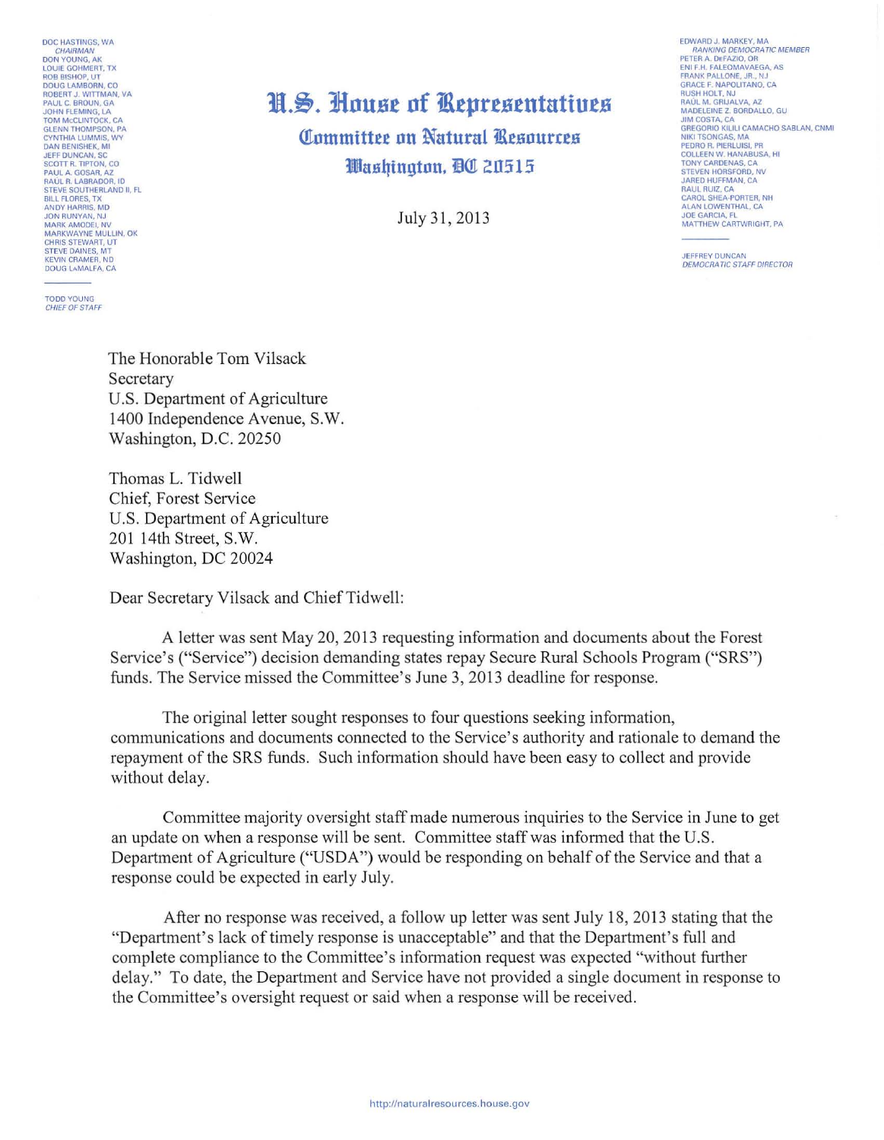DOC HASTINGS, WA DON YOUNG, AK LOUIE GOHMERT, TX<br>ROB BISHOP, UT<br>DOUG LAMBORN, CO **BOBERT J. WITTMAN, VA<br>PAUL C. BROUN, GA<br>JOHN FLEMING, LA TOM MCCLINTOCK, CA** GLENN THOMPSON, PA<br>CYNTHIA LUMMIS, WY<br>DAN BENISHEK, MI JEFF DUNCAN, SC<br>SCOTT R. TIPTON, CO<br>PAUL A. GOSAR, AZ<br>RAÚL R. LABRADOR, ID STEVE SOUTHERLAND II, FL ANDY HARRIS, MD JON RUNYAN, NJ<br>MARK AMODEI, NV<br>MARKWAYNE MULLIN, OK CHRIS STEWART, UT<br>STEVE DAINES, MT<br>KEVIN CRAMER, ND DOUG LAMALFA, CA

**TODD YOUNG** CHIEF OF STAFF

## H.S. House of Representatives

Committee on Natural Resources Washinaton, DC 20515

July 31, 2013

**FDWARD J. MARKEY, MA** RANKING DEMOCRATIC MEMBER<br>PETER A. DEFAZIO, OR ENI F.H. FALEOMAVAEGA, AS FRANK PALLONE, JR., NJ<br>GRACE F. NAPOLITANO, CA **RUSH HOLT, NJ** RAÚL M. GRIJALVA, AZ<br>MADELEINE Z. BORDALLO, GU<br>JIM COSTA, CA GREGORIO KILILI CAMACHO SABLAN, CNMI NIKI TSONGAS, MA<br>PEDRO R. PIERLUISI, PR<br>COLLEEN W. HANABUSA, HI TONY CARDENAS, CA<br>STEVEN HORSFORD, N<br>JARED HUFFMAN, CA RAUL RUIZ, CA<br>CAROL SHEA-PORTER, NH<br>ALAN LOWENTHAL, CA **JOE GARCIA, FL** MATTHEW CARTWRIGHT, PA

**JEFFREY DUNCAN DEMOCRATIC STAFF DIRECTOR** 

The Honorable Tom Vilsack Secretary U.S. Department of Agriculture 1400 Independence Avenue, S.W. Washington, D.C. 20250

Thomas L. Tidwell Chief, Forest Service U.S. Department of Agriculture 201 14th Street, S.W. Washington, DC 20024

Dear Secretary Vilsack and Chief Tidwell:

A letter was sent May 20, 2013 requesting information and documents about the Forest Service's ("Service") decision demanding states repay Secure Rural Schools Program ("SRS") funds. The Service missed the Committee's June 3, 2013 deadline for response.

The original letter sought responses to four questions seeking information, communications and documents connected to the Service's authority and rationale to demand the repayment of the SRS funds. Such information should have been easy to collect and provide without delay.

Committee majority oversight staff made numerous inquiries to the Service in June to get an update on when a response will be sent. Committee staff was informed that the U.S. Department of Agriculture ("USDA") would be responding on behalf of the Service and that a response could be expected in early July.

After no response was received, a follow up letter was sent July 18, 2013 stating that the "Department's lack of timely response is unacceptable" and that the Department's full and complete compliance to the Committee's information request was expected "without further" delay." To date, the Department and Service have not provided a single document in response to the Committee's oversight request or said when a response will be received.